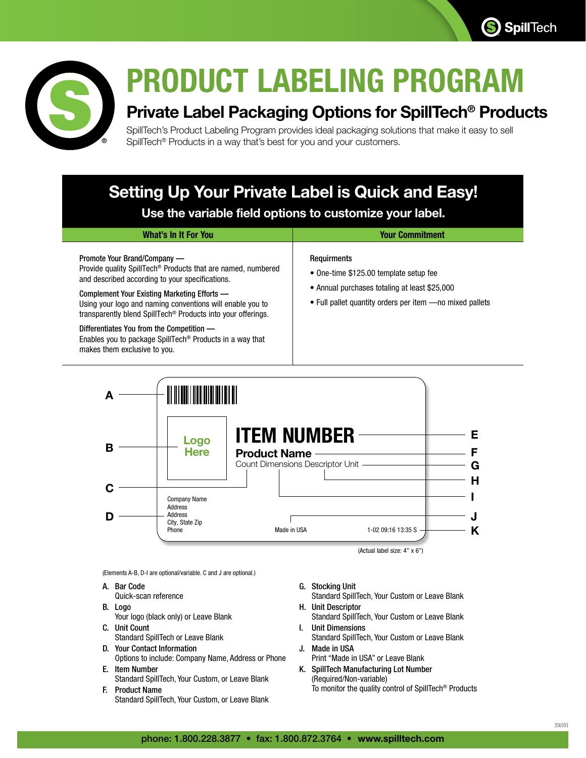



## **PRODUCT LABELING PROGRAM**

## **Private Label Packaging Options for SpillTech® Products**

SpillTech's Product Labeling Program provides ideal packaging solutions that make it easy to sell SpillTech® Products in a way that's best for you and your customers.

## **Setting Up Your Private Label is Quick and Easy!**

**Use the variable field options to customize your label.**

| What's In It For You                                                                                                                                                                                                                                                                                                                                 | <b>Your Commitment</b>                                                                                                                                                     |
|------------------------------------------------------------------------------------------------------------------------------------------------------------------------------------------------------------------------------------------------------------------------------------------------------------------------------------------------------|----------------------------------------------------------------------------------------------------------------------------------------------------------------------------|
| Promote Your Brand/Company —<br>Provide quality SpillTech <sup>®</sup> Products that are named, numbered<br>and described according to your specifications.<br>Complement Your Existing Marketing Efforts —<br>Using your logo and naming conventions will enable you to<br>transparently blend SpillTech <sup>®</sup> Products into your offerings. | <b>Requirments</b><br>• One-time \$125.00 template setup fee<br>• Annual purchases totaling at least \$25,000<br>• Full pallet quantity orders per item - no mixed pallets |
| Differentiates You from the Competition —<br>Enables you to package SpillTech <sup>®</sup> Products in a way that<br>makes them exclusive to you.                                                                                                                                                                                                    |                                                                                                                                                                            |



(Elements A-B, D-I are optional/variable. C and J are optional.)

- A. Bar Code
- Quick-scan reference
- B. Logo Your logo (black only) or Leave Blank
- C. Unit Count Standard SpillTech or Leave Blank
- D. Your Contact Information Options to include: Company Name, Address or Phone
- E. Item Number Standard SpillTech, Your Custom, or Leave Blank
- F. Product Name Standard SpillTech, Your Custom, or Leave Blank
- G. Stocking Unit
- Standard SpillTech, Your Custom or Leave Blank H. Unit Descriptor
- Standard SpillTech, Your Custom or Leave Blank I. Unit Dimensions
- Standard SpillTech, Your Custom or Leave Blank J. Made in USA
- Print "Made in USA" or Leave Blank
- K. SpillTech Manufacturing Lot Number (Required/Non-variable) To monitor the quality control of SpillTech® Products